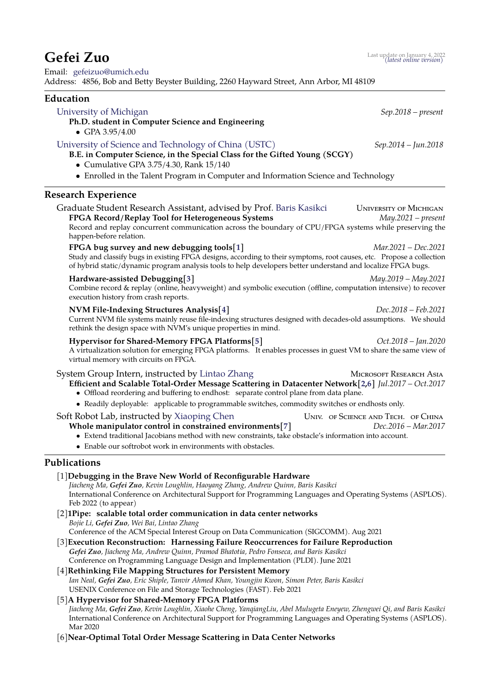# **Gefei Zuo** [Last update on January 4, 2022](https://gitlab.com/gefeizuo/CV/-/raw/master/gefeizuo-cv.pdf) *(latest online version)*

Email: [gefeizuo@umich.edu](mailto:gefeizuo@umich.edu) Address: 4856, Bob and Betty Beyster Building, 2260 Hayward Street, Ann Arbor, MI 48109

### **Education**

### [University of Michigan](https://umich.edu) *Sep.2018 – present*

### **Ph.D. student in Computer Science and Engineering**

• GPA 3.95/4.00

### [University of Science and Technology of China \(USTC\)](http://ustc.edu.cn/) *Sep.2014 – Jun.2018*

- **B.E. in Computer Science, in the Special Class for the Gifted Young (SCGY)**
	- Cumulative GPA 3.75/4.30, Rank 15/140
- Enrolled in the Talent Program in Computer and Information Science and Technology

### **Research Experience**

| Graduate Student Research Assistant, advised by Prof. Baris Kasikci<br>FPGA Record/Replay Tool for Heterogeneous Systems                                                                                                                                                            | <b>UNIVERSITY OF MICHIGAN</b><br>$May.2021 - present$ |
|-------------------------------------------------------------------------------------------------------------------------------------------------------------------------------------------------------------------------------------------------------------------------------------|-------------------------------------------------------|
| Record and replay concurrent communication across the boundary of CPU/FPGA systems while preserving the<br>happen-before relation.                                                                                                                                                  |                                                       |
| FPGA bug survey and new debugging tools[1]<br>Study and classify bugs in existing FPGA designs, according to their symptoms, root causes, etc. Propose a collection<br>of hybrid static/dynamic program analysis tools to help developers better understand and localize FPGA bugs. | Mar.2021 – Dec.2021                                   |
| Hardware-assisted Debugging[3]<br>Combine record & replay (online, heavyweight) and symbolic execution (offline, computation intensive) to recover<br>execution history from crash reports.                                                                                         | May.2019 – May.2021                                   |
| NVM File-Indexing Structures Analysis[4]<br>Current NVM file systems mainly reuse file-indexing structures designed with decades-old assumptions. We should<br>rethink the design space with NVM's unique properties in mind.                                                       | Dec.2018 – Feb.2021                                   |
| Hypervisor for Shared-Memory FPGA Platforms[5]<br>A virtualization solution for emerging FPGA platforms. It enables processes in guest VM to share the same view of<br>virtual memory with circuits on FPGA.                                                                        | $Oct.2018 - Jan.2020$                                 |

## System Group Intern, instructed by [Lintao Zhang](https://www.microsoft.com/en-us/research/people/lintaoz/) Microsoft RESEARCH ASIA **Efficient and Scalable Total-Order Message Scattering in Datacenter Network[\[2](#page-0-4)[,6\]](#page-0-5)** *Jul.2017 – Oct.2017*

- Offload reordering and buffering to endhost: separate control plane from data plane.
- Readily deployable: applicable to programmable switches, commodity switches or endhosts only.

#### Soft Robot Lab, instructed by [Xiaoping Chen](http://ai.ustc.edu.cn/) Univ. of Science and Tech. of China **Whole manipulator control in constrained environments[\[7\]](#page-1-0)** *Dec.2016 – Mar.2017*

- Extend traditional Jacobians method with new constraints, take obstacle's information into account.
- Enable our softrobot work in environments with obstacles.

### <span id="page-0-0"></span>**Publications**

- [1]**Debugging in the Brave New World of Reconfigurable Hardware** *Jiacheng Ma, Gefei Zuo, Kevin Loughlin, Haoyang Zhang, Andrew Quinn, Baris Kasikci* International Conference on Architectural Support for Programming Languages and Operating Systems (ASPLOS). Feb 2022 (to appear)
- <span id="page-0-4"></span>[2]**1Pipe: scalable total order communication in data center networks** *Bojie Li, Gefei Zuo, Wei Bai, Lintao Zhang* Conference of the ACM Special Interest Group on Data Communication (SIGCOMM). Aug 2021
- <span id="page-0-1"></span>[3]**Execution Reconstruction: Harnessing Failure Reoccurrences for Failure Reproduction** *Gefei Zuo, Jiacheng Ma, Andrew Quinn, Pramod Bhatotia, Pedro Fonseca, and Baris Kasikci* Conference on Programming Language Design and Implementation (PLDI). June 2021
- <span id="page-0-2"></span>[4]**Rethinking File Mapping Structures for Persistent Memory** *Ian Neal, Gefei Zuo, Eric Shiple, Tanvir Ahmed Khan, Youngjin Kwon, Simon Peter, Baris Kasikci* USENIX Conference on File and Storage Technologies (FAST). Feb 2021

### <span id="page-0-3"></span>[5]**A Hypervisor for Shared-Memory FPGA Platforms**

*Jiacheng Ma, Gefei Zuo, Kevin Loughlin, Xiaohe Cheng, YanqiangLiu, Abel Mulugeta Eneyew, Zhengwei Qi, and Baris Kasikci* International Conference on Architectural Support for Programming Languages and Operating Systems (ASPLOS). Mar 2020

<span id="page-0-5"></span>[6]**Near-Optimal Total Order Message Scattering in Data Center Networks**